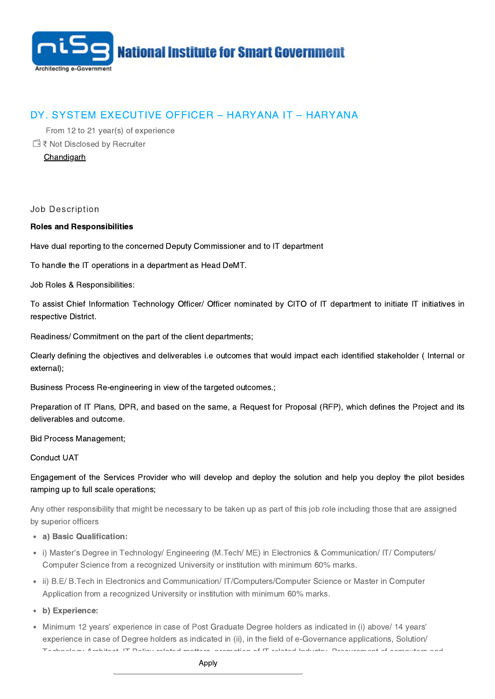

## DY. SYSTEM EXECUTIVE OFFICER – HARYANA IT – HARYANA

From 12 to 21 year(s) of experience

₹ Not Disclosed by Recruiter

**[Chandigarh](https://careers.nisg.org/jobs-in-chandigarh)** 

Job Description

## Roles and Responsibilities

Have dual reporting to the concerned Deputy Commissioner and to IT department

To handle the IT operations in a department as Head DeMT.

Job Roles & Responsibilities:

To assist Chief Information Technology Officer/ Officer nominated by CITO of IT department to initiate IT initiatives in respective District.

Readiness/ Commitment on the part of the client departments;

Clearly defining the objectives and deliverables i.e outcomes that would impact each identified stakeholder ( Internal or external);

Business Process Re-engineering in view of the targeted outcomes.;

Preparation of IT Plans, DPR, and based on the same, a Request for Proposal (RFP), which defines the Project and its deliverables and outcome.

Bid Process Management;

Conduct UAT

Engagement of the Services Provider who will develop and deploy the solution and help you deploy the pilot besides ramping up to full scale operations;

Any other responsibility that might be necessary to be taken up as part of this job role including those that are assigned by superior officers

- a) Basic Qualification:
- i) Master's Degree in Technology/ Engineering (M.Tech/ ME) in Electronics & Communication/ IT/ Computers/ Computer Science from a recognized University or institution with minimum 60% marks.
- ii) B.E/ B.Tech in Electronics and Communication/ IT/Computers/Computer Science or Master in Computer Application from a recognized University or institution with minimum 60% marks.
- b) Experience:
- Minimum 12 years' experience in case of Post Graduate Degree holders as indicated in (i) above/ 14 years' experience in case of Degree holders as indicated in (ii), in the field of e-Governance applications, Solution/ Technology Architect, IT Policy related matters, promotion of IT related Industry, Procurement of computers and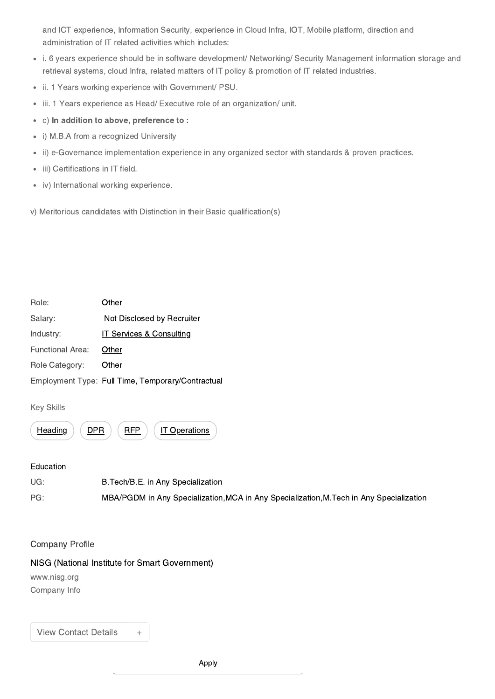and ICT experience, Information Security, experience in Cloud Infra, IOT, Mobile platform, direction and administration of IT related activities which includes:

- i. 6 years experience should be in software development/ Networking/ Security Management information storage and retrieval systems, cloud Infra, related matters of IT policy & promotion of IT related industries.
- ii. 1 Years working experience with Government/ PSU.
- iii. 1 Years experience as Head/ Executive role of an organization/ unit.  $\bullet$
- c) In addition to above, preference to :  $\bullet$
- i) M.B.A from a recognized University
- ii) e-Governance implementation experience in any organized sector with standards & proven practices.
- iii) Certifications in IT field.  $\bullet$
- iv) International working experience.

v) Meritorious candidates with Distinction in their Basic qualification(s)

| Role:                   | Other                                             |
|-------------------------|---------------------------------------------------|
| Salary:                 | Not Disclosed by Recruiter                        |
| Industry:               | <b>IT Services &amp; Consulting</b>               |
| <b>Functional Area:</b> | Other                                             |
| Role Category:          | Other                                             |
|                         | Employment Type: Full Time, Temporary/Contractual |

Key Skills



## Education

UG: B.Tech/B.E. in Any Specialization PG: MBA/PGDM in Any Specialization,MCA in Any Specialization,M.Tech in Any Specialization

## Company Profile

NISG (National Institute for Smart Government)

www.nisg.org

Company Info

View Contact Details +

Apply